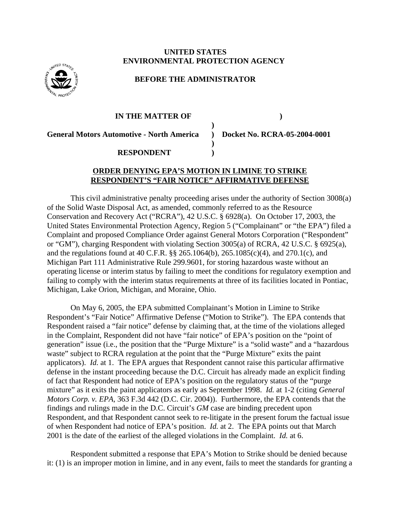## **UNITED STATES ENVIRONMENTAL PROTECTION AGENCY**



# **BEFORE THE ADMINISTRATOR**

#### **IN THE MATTER OF )**

**General Motors Automotive - North America ) Docket No. RCRA-05-2004-0001**

## **RESPONDENT )**

### **ORDER DENYING EPA'S MOTION IN LIMINE TO STRIKE RESPONDENT'S "FAIR NOTICE" AFFIRMATIVE DEFENSE**

**)**

**)**

This civil administrative penalty proceeding arises under the authority of Section 3008(a) of the Solid Waste Disposal Act, as amended, commonly referred to as the Resource Conservation and Recovery Act ("RCRA"), 42 U.S.C. § 6928(a). On October 17, 2003, the United States Environmental Protection Agency, Region 5 ("Complainant" or "the EPA") filed a Complaint and proposed Compliance Order against General Motors Corporation ("Respondent" or "GM"), charging Respondent with violating Section 3005(a) of RCRA, 42 U.S.C. § 6925(a), and the regulations found at 40 C.F.R. §§ 265.1064(b), 265.1085(c)(4), and 270.1(c), and Michigan Part 111 Administrative Rule 299.9601, for storing hazardous waste without an operating license or interim status by failing to meet the conditions for regulatory exemption and failing to comply with the interim status requirements at three of its facilities located in Pontiac, Michigan, Lake Orion, Michigan, and Moraine, Ohio.

On May 6, 2005, the EPA submitted Complainant's Motion in Limine to Strike Respondent's "Fair Notice" Affirmative Defense ("Motion to Strike"). The EPA contends that Respondent raised a "fair notice" defense by claiming that, at the time of the violations alleged in the Complaint, Respondent did not have "fair notice" of EPA's position on the "point of generation" issue (i.e., the position that the "Purge Mixture" is a "solid waste" and a "hazardous waste" subject to RCRA regulation at the point that the "Purge Mixture" exits the paint applicators). *Id.* at 1. The EPA argues that Respondent cannot raise this particular affirmative defense in the instant proceeding because the D.C. Circuit has already made an explicit finding of fact that Respondent had notice of EPA's position on the regulatory status of the "purge mixture" as it exits the paint applicators as early as September 1998. *Id.* at 1-2 (citing *General Motors Corp. v. EPA,* 363 F.3d 442 (D.C. Cir. 2004)). Furthermore, the EPA contends that the findings and rulings made in the D.C. Circuit's *GM* case are binding precedent upon Respondent, and that Respondent cannot seek to re-litigate in the present forum the factual issue of when Respondent had notice of EPA's position. *Id.* at 2. The EPA points out that March 2001 is the date of the earliest of the alleged violations in the Complaint. *Id.* at 6.

Respondent submitted a response that EPA's Motion to Strike should be denied because it: (1) is an improper motion in limine, and in any event, fails to meet the standards for granting a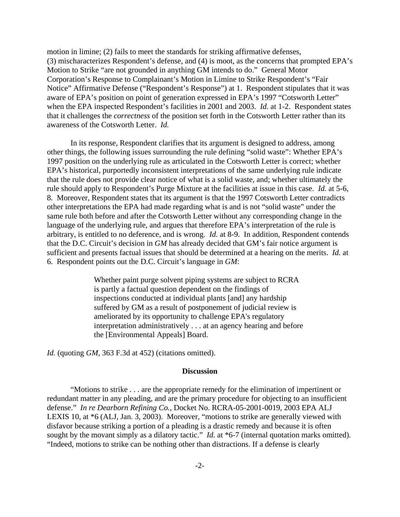motion in limine; (2) fails to meet the standards for striking affirmative defenses, (3) mischaracterizes Respondent's defense, and (4) is moot, as the concerns that prompted EPA's Motion to Strike "are not grounded in anything GM intends to do." General Motor Corporation's Response to Complainant's Motion in Limine to Strike Respondent's "Fair Notice" Affirmative Defense ("Respondent's Response") at 1. Respondent stipulates that it was aware of EPA's position on point of generation expressed in EPA's 1997 "Cotsworth Letter" when the EPA inspected Respondent's facilities in 2001 and 2003. *Id.* at 1-2. Respondent states that it challenges the *correctness* of the position set forth in the Cotsworth Letter rather than its awareness of the Cotsworth Letter. *Id.*

In its response, Respondent clarifies that its argument is designed to address, among other things, the following issues surrounding the rule defining "solid waste": Whether EPA's 1997 position on the underlying rule as articulated in the Cotsworth Letter is correct; whether EPA's historical, purportedly inconsistent interpretations of the same underlying rule indicate that the rule does not provide clear notice of what is a solid waste, and; whether ultimately the rule should apply to Respondent's Purge Mixture at the facilities at issue in this case. *Id.* at 5-6, 8. Moreover, Respondent states that its argument is that the 1997 Cotsworth Letter contradicts other interpretations the EPA had made regarding what is and is not "solid waste" under the same rule both before and after the Cotsworth Letter without any corresponding change in the language of the underlying rule, and argues that therefore EPA's interpretation of the rule is arbitrary, is entitled to no deference, and is wrong. *Id.* at 8-9. In addition, Respondent contends that the D.C. Circuit's decision in *GM* has already decided that GM's fair notice argument is sufficient and presents factual issues that should be determined at a hearing on the merits. *Id.* at 6. Respondent points out the D.C. Circuit's language in *GM*:

> Whether paint purge solvent piping systems are subject to RCRA is partly a factual question dependent on the findings of inspections conducted at individual plants [and] any hardship suffered by GM as a result of postponement of judicial review is ameliorated by its opportunity to challenge EPA's regulatory interpretation administratively . . . at an agency hearing and before the [Environmental Appeals] Board.

*Id.* (quoting *GM,* 363 F.3d at 452) (citations omitted).

#### **Discussion**

"Motions to strike . . . are the appropriate remedy for the elimination of impertinent or redundant matter in any pleading, and are the primary procedure for objecting to an insufficient defense." *In re Dearborn Refining Co.,* Docket No. RCRA-05-2001-0019, 2003 EPA ALJ LEXIS 10, at \*6 (ALJ, Jan. 3, 2003). Moreover, "motions to strike are generally viewed with disfavor because striking a portion of a pleading is a drastic remedy and because it is often sought by the movant simply as a dilatory tactic." *Id.* at \*6-7 (internal quotation marks omitted). "Indeed, motions to strike can be nothing other than distractions. If a defense is clearly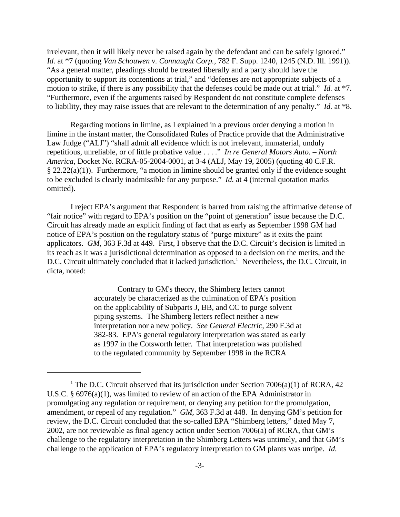irrelevant, then it will likely never be raised again by the defendant and can be safely ignored." *Id.* at \*7 (quoting *Van Schouwen v. Connaught Corp.,* 782 F. Supp. 1240, 1245 (N.D. Ill. 1991)). "As a general matter, pleadings should be treated liberally and a party should have the opportunity to support its contentions at trial," and "defenses are not appropriate subjects of a motion to strike, if there is any possibility that the defenses could be made out at trial*.*" *Id.* at \*7. "Furthermore, even if the arguments raised by Respondent do not constitute complete defenses to liability, they may raise issues that are relevant to the determination of any penalty." *Id.* at \*8.

Regarding motions in limine, as I explained in a previous order denying a motion in limine in the instant matter, the Consolidated Rules of Practice provide that the Administrative Law Judge ("ALJ") "shall admit all evidence which is not irrelevant, immaterial, unduly repetitious, unreliable, or of little probative value . . . ." *In re General Motors Auto. – North America,* Docket No. RCRA-05-2004-0001, at 3-4 (ALJ, May 19, 2005) (quoting 40 C.F.R.  $\S 22.22(a)(1)$ . Furthermore, "a motion in limine should be granted only if the evidence sought to be excluded is clearly inadmissible for any purpose." *Id.* at 4 (internal quotation marks omitted).

I reject EPA's argument that Respondent is barred from raising the affirmative defense of "fair notice" with regard to EPA's position on the "point of generation" issue because the D.C. Circuit has already made an explicit finding of fact that as early as September 1998 GM had notice of EPA's position on the regulatory status of "purge mixture" as it exits the paint applicators. *GM,* 363 F.3d at 449. First, I observe that the D.C. Circuit's decision is limited in its reach as it was a jurisdictional determination as opposed to a decision on the merits, and the D.C. Circuit ultimately concluded that it lacked jurisdiction.<sup>1</sup> Nevertheless, the D.C. Circuit, in dicta, noted:

> Contrary to GM's theory, the Shimberg letters cannot accurately be characterized as the culmination of EPA's position on the applicability of Subparts J, BB, and CC to purge solvent piping systems. The Shimberg letters reflect neither a new interpretation nor a new policy. *See General Electric,* 290 F.3d at 382-83. EPA's general regulatory interpretation was stated as early as 1997 in the Cotsworth letter. That interpretation was published to the regulated community by September 1998 in the RCRA

<sup>&</sup>lt;sup>1</sup> The D.C. Circuit observed that its jurisdiction under Section 7006(a)(1) of RCRA, 42 U.S.C. § 6976(a)(1), was limited to review of an action of the EPA Administrator in promulgating any regulation or requirement, or denying any petition for the promulgation, amendment, or repeal of any regulation." *GM,* 363 F.3d at 448. In denying GM's petition for review, the D.C. Circuit concluded that the so-called EPA "Shimberg letters," dated May 7, 2002, are not reviewable as final agency action under Section 7006(a) of RCRA, that GM's challenge to the regulatory interpretation in the Shimberg Letters was untimely, and that GM's challenge to the application of EPA's regulatory interpretation to GM plants was unripe. *Id.*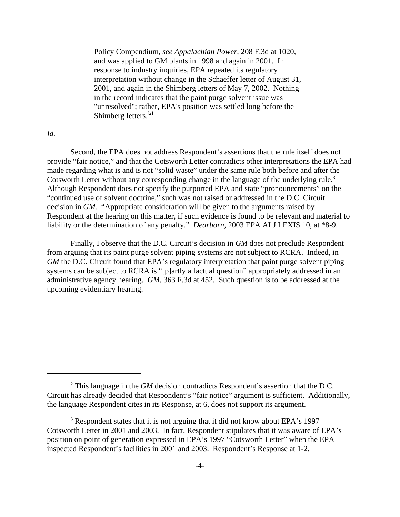Policy Compendium, *see Appalachian Power,* 208 F.3d at 1020, and was applied to GM plants in 1998 and again in 2001. In response to industry inquiries, EPA repeated its regulatory interpretation without change in the Schaeffer letter of August 31, 2001, and again in the Shimberg letters of May 7, 2002. Nothing in the record indicates that the paint purge solvent issue was "unresolved"; rather, EPA's position was settled long before the Shimberg letters.[2]

## *Id.*

Second, the EPA does not address Respondent's assertions that the rule itself does not provide "fair notice," and that the Cotsworth Letter contradicts other interpretations the EPA had made regarding what is and is not "solid waste" under the same rule both before and after the Cotsworth Letter without any corresponding change in the language of the underlying rule.<sup>3</sup> Although Respondent does not specify the purported EPA and state "pronouncements" on the "continued use of solvent doctrine," such was not raised or addressed in the D.C. Circuit decision in *GM.* "Appropriate consideration will be given to the arguments raised by Respondent at the hearing on this matter, if such evidence is found to be relevant and material to liability or the determination of any penalty." *Dearborn,* 2003 EPA ALJ LEXIS 10, at \*8-9.

Finally, I observe that the D.C. Circuit's decision in *GM* does not preclude Respondent from arguing that its paint purge solvent piping systems are not subject to RCRA. Indeed, in *GM* the D.C. Circuit found that EPA's regulatory interpretation that paint purge solvent piping systems can be subject to RCRA is "[p]artly a factual question" appropriately addressed in an administrative agency hearing. *GM,* 363 F.3d at 452. Such question is to be addressed at the upcoming evidentiary hearing.

<sup>&</sup>lt;sup>2</sup> This language in the *GM* decision contradicts Respondent's assertion that the D.C. Circuit has already decided that Respondent's "fair notice" argument is sufficient. Additionally, the language Respondent cites in its Response, at 6, does not support its argument.

<sup>&</sup>lt;sup>3</sup> Respondent states that it is not arguing that it did not know about EPA's 1997 Cotsworth Letter in 2001 and 2003. In fact, Respondent stipulates that it was aware of EPA's position on point of generation expressed in EPA's 1997 "Cotsworth Letter" when the EPA inspected Respondent's facilities in 2001 and 2003. Respondent's Response at 1-2.